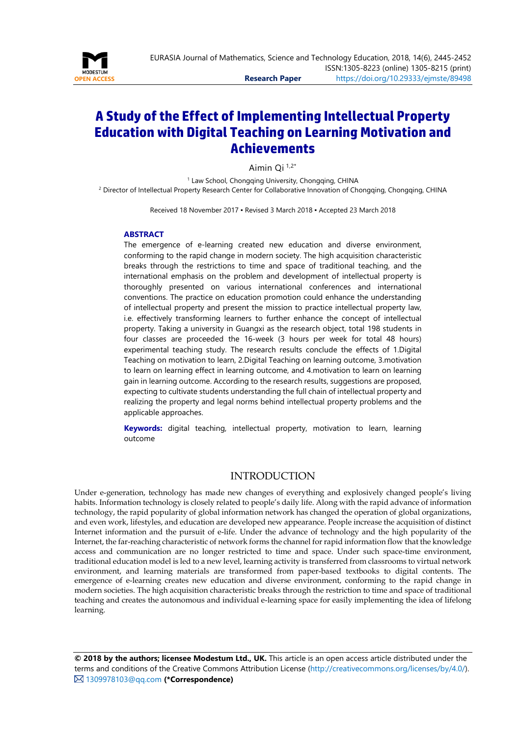

# **A Study of the Effect of Implementing Intellectual Property Education with Digital Teaching on Learning Motivation and Achievements**

Aimin Qi 1,2\*

<sup>1</sup> Law School, Chongqing University, Chongqing, CHINA <sup>2</sup> Director of Intellectual Property Research Center for Collaborative Innovation of Chongqing, Chongqing, CHINA

Received 18 November 2017 ▪ Revised 3 March 2018 ▪ Accepted 23 March 2018

#### <span id="page-0-0"></span>**ABSTRACT**

The emergence of e-learning created new education and diverse environment, conforming to the rapid change in modern society. The high acquisition characteristic breaks through the restrictions to time and space of traditional teaching, and the international emphasis on the problem and development of intellectual property is thoroughly presented on various international conferences and international conventions. The practice on education promotion could enhance the understanding of intellectual property and present the mission to practice intellectual property law, i.e. effectively transforming learners to further enhance the concept of intellectual property. Taking a university in Guangxi as the research object, total 198 students in four classes are proceeded the 16-week (3 hours per week for total 48 hours) experimental teaching study. The research results conclude the effects of 1.Digital Teaching on motivation to learn, 2.Digital Teaching on learning outcome, 3.motivation to learn on learning effect in learning outcome, and 4.motivation to learn on learning gain in learning outcome. According to the research results, suggestions are proposed, expecting to cultivate students understanding the full chain of intellectual property and realizing the property and legal norms behind intellectual property problems and the applicable approaches.

**Keywords:** digital teaching, intellectual property, motivation to learn, learning outcome

### INTRODUCTION

Under e-generation, technology has made new changes of everything and explosively changed people's living habits. Information technology is closely related to people's daily life. Along with the rapid advance of information technology, the rapid popularity of global information network has changed the operation of global organizations, and even work, lifestyles, and education are developed new appearance. People increase the acquisition of distinct Internet information and the pursuit of e-life. Under the advance of technology and the high popularity of the Internet, the far-reaching characteristic of network forms the channel for rapid information flow that the knowledge access and communication are no longer restricted to time and space. Under such space-time environment, traditional education model is led to a new level, learning activity is transferred from classrooms to virtual network environment, and learning materials are transformed from paper-based textbooks to digital contents. The emergence of e-learning creates new education and diverse environment, conforming to the rapid change in modern societies. The high acquisition characteristic breaks through the restriction to time and space of traditional teaching and creates the autonomous and individual e-learning space for easily implementing the idea of lifelong learning.

**© 2018 by the authors; licensee Modestum Ltd., UK.** This article is an open access article distributed under the terms and conditions of the Creative Commons Attribution License [\(http://creativecommons.org/licenses/by/4.0/\)](http://creativecommons.org/licenses/by/4.0/). [1309978103@qq.com](mailto:1309978103@qq.com) **(\*Correspondence)**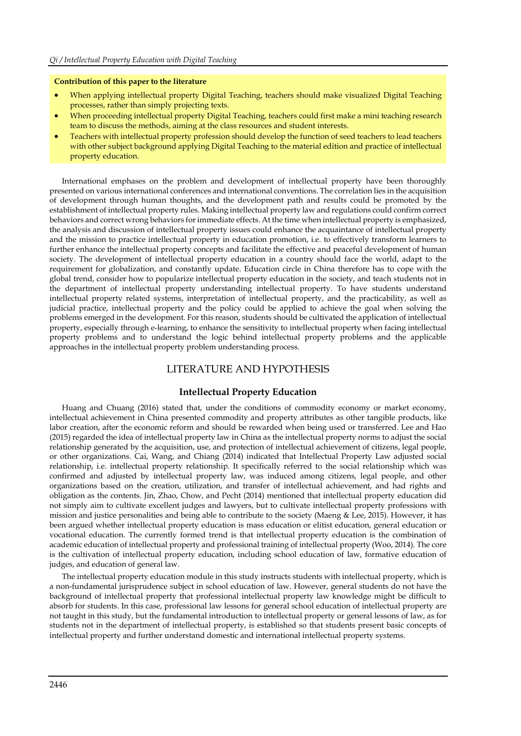#### **Contribution of this paper to the literature**

- When applying intellectual property Digital Teaching, teachers should make visualized Digital Teaching processes, rather than simply projecting texts.
- When proceeding intellectual property Digital Teaching, teachers could first make a mini teaching research team to discuss the methods, aiming at the class resources and student interests.
- Teachers with intellectual property profession should develop the function of seed teachers to lead teachers with other subject background applying Digital Teaching to the material edition and practice of intellectual property education.

International emphases on the problem and development of intellectual property have been thoroughly presented on various international conferences and international conventions. The correlation lies in the acquisition of development through human thoughts, and the development path and results could be promoted by the establishment of intellectual property rules. Making intellectual property law and regulations could confirm correct behaviors and correct wrong behaviors for immediate effects. At the time when intellectual property is emphasized, the analysis and discussion of intellectual property issues could enhance the acquaintance of intellectual property and the mission to practice intellectual property in education promotion, i.e. to effectively transform learners to further enhance the intellectual property concepts and facilitate the effective and peaceful development of human society. The development of intellectual property education in a country should face the world, adapt to the requirement for globalization, and constantly update. Education circle in China therefore has to cope with the global trend, consider how to popularize intellectual property education in the society, and teach students not in the department of intellectual property understanding intellectual property. To have students understand intellectual property related systems, interpretation of intellectual property, and the practicability, as well as judicial practice, intellectual property and the policy could be applied to achieve the goal when solving the problems emerged in the development. For this reason, students should be cultivated the application of intellectual property, especially through e-learning, to enhance the sensitivity to intellectual property when facing intellectual property problems and to understand the logic behind intellectual property problems and the applicable approaches in the intellectual property problem understanding process.

### LITERATURE AND HYPOTHESIS

#### **Intellectual Property Education**

Huang and Chuang (2016) stated that, under the conditions of commodity economy or market economy, intellectual achievement in China presented commodity and property attributes as other tangible products, like labor creation, after the economic reform and should be rewarded when being used or transferred. Lee and Hao (2015) regarded the idea of intellectual property law in China as the intellectual property norms to adjust the social relationship generated by the acquisition, use, and protection of intellectual achievement of citizens, legal people, or other organizations. Cai, Wang, and Chiang (2014) indicated that Intellectual Property Law adjusted social relationship, i.e. intellectual property relationship. It specifically referred to the social relationship which was confirmed and adjusted by intellectual property law, was induced among citizens, legal people, and other organizations based on the creation, utilization, and transfer of intellectual achievement, and had rights and obligation as the contents. Jin, Zhao, Chow, and Pecht (2014) mentioned that intellectual property education did not simply aim to cultivate excellent judges and lawyers, but to cultivate intellectual property professions with mission and justice personalities and being able to contribute to the society (Maeng & Lee, 2015). However, it has been argued whether intellectual property education is mass education or elitist education, general education or vocational education. The currently formed trend is that intellectual property education is the combination of academic education of intellectual property and professional training of intellectual property (Woo, 2014). The core is the cultivation of intellectual property education, including school education of law, formative education of judges, and education of general law.

The intellectual property education module in this study instructs students with intellectual property, which is a non-fundamental jurisprudence subject in school education of law. However, general students do not have the background of intellectual property that professional intellectual property law knowledge might be difficult to absorb for students. In this case, professional law lessons for general school education of intellectual property are not taught in this study, but the fundamental introduction to intellectual property or general lessons of law, as for students not in the department of intellectual property, is established so that students present basic concepts of intellectual property and further understand domestic and international intellectual property systems.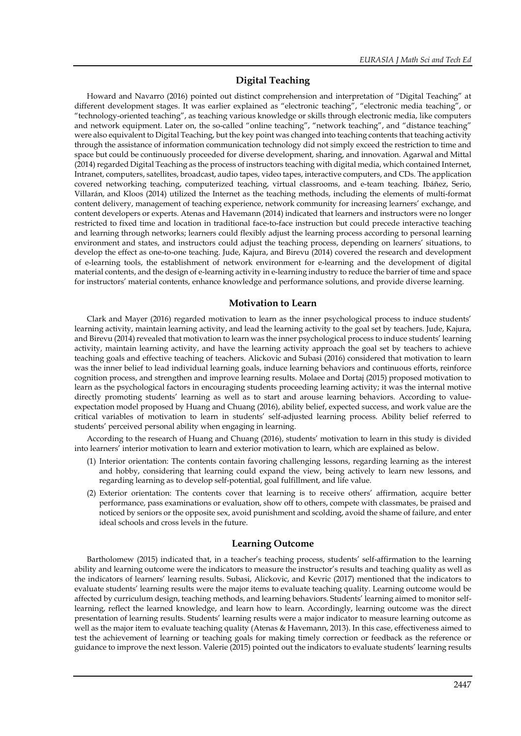### **Digital Teaching**

Howard and Navarro (2016) pointed out distinct comprehension and interpretation of "Digital Teaching" at different development stages. It was earlier explained as "electronic teaching", "electronic media teaching", or "technology-oriented teaching", as teaching various knowledge or skills through electronic media, like computers and network equipment. Later on, the so-called "online teaching", "network teaching", and "distance teaching" were also equivalent to Digital Teaching, but the key point was changed into teaching contents that teaching activity through the assistance of information communication technology did not simply exceed the restriction to time and space but could be continuously proceeded for diverse development, sharing, and innovation. Agarwal and Mittal (2014) regarded Digital Teaching as the process of instructors teaching with digital media, which contained Internet, Intranet, computers, satellites, broadcast, audio tapes, video tapes, interactive computers, and CDs. The application covered networking teaching, computerized teaching, virtual classrooms, and e-team teaching. Ibáñez, Serio, Villarán, and Kloos (2014) utilized the Internet as the teaching methods, including the elements of multi-format content delivery, management of teaching experience, network community for increasing learners' exchange, and content developers or experts. Atenas and Havemann (2014) indicated that learners and instructors were no longer restricted to fixed time and location in traditional face-to-face instruction but could precede interactive teaching and learning through networks; learners could flexibly adjust the learning process according to personal learning environment and states, and instructors could adjust the teaching process, depending on learners' situations, to develop the effect as one-to-one teaching. Jude, Kajura, and Birevu (2014) covered the research and development of e-learning tools, the establishment of network environment for e-learning and the development of digital material contents, and the design of e-learning activity in e-learning industry to reduce the barrier of time and space for instructors' material contents, enhance knowledge and performance solutions, and provide diverse learning.

### **Motivation to Learn**

Clark and Mayer (2016) regarded motivation to learn as the inner psychological process to induce students' learning activity, maintain learning activity, and lead the learning activity to the goal set by teachers. Jude, Kajura, and Birevu (2014) revealed that motivation to learn was the inner psychological process to induce students' learning activity, maintain learning activity, and have the learning activity approach the goal set by teachers to achieve teaching goals and effective teaching of teachers. Alickovic and Subasi (2016) considered that motivation to learn was the inner belief to lead individual learning goals, induce learning behaviors and continuous efforts, reinforce cognition process, and strengthen and improve learning results. Molaee and Dortaj (2015) proposed motivation to learn as the psychological factors in encouraging students proceeding learning activity; it was the internal motive directly promoting students' learning as well as to start and arouse learning behaviors. According to valueexpectation model proposed by Huang and Chuang (2016), ability belief, expected success, and work value are the critical variables of motivation to learn in students' self-adjusted learning process. Ability belief referred to students' perceived personal ability when engaging in learning.

According to the research of Huang and Chuang (2016), students' motivation to learn in this study is divided into learners' interior motivation to learn and exterior motivation to learn, which are explained as below.

- (1) Interior orientation: The contents contain favoring challenging lessons, regarding learning as the interest and hobby, considering that learning could expand the view, being actively to learn new lessons, and regarding learning as to develop self-potential, goal fulfillment, and life value.
- (2) Exterior orientation: The contents cover that learning is to receive others' affirmation, acquire better performance, pass examinations or evaluation, show off to others, compete with classmates, be praised and noticed by seniors or the opposite sex, avoid punishment and scolding, avoid the shame of failure, and enter ideal schools and cross levels in the future.

#### **Learning Outcome**

Bartholomew (2015) indicated that, in a teacher's teaching process, students' self-affirmation to the learning ability and learning outcome were the indicators to measure the instructor's results and teaching quality as well as the indicators of learners' learning results. Subasi, Alickovic, and Kevric (2017) mentioned that the indicators to evaluate students' learning results were the major items to evaluate teaching quality. Learning outcome would be affected by curriculum design, teaching methods, and learning behaviors. Students' learning aimed to monitor selflearning, reflect the learned knowledge, and learn how to learn. Accordingly, learning outcome was the direct presentation of learning results. Students' learning results were a major indicator to measure learning outcome as well as the major item to evaluate teaching quality (Atenas & Havemann, 2013). In this case, effectiveness aimed to test the achievement of learning or teaching goals for making timely correction or feedback as the reference or guidance to improve the next lesson. Valerie (2015) pointed out the indicators to evaluate students' learning results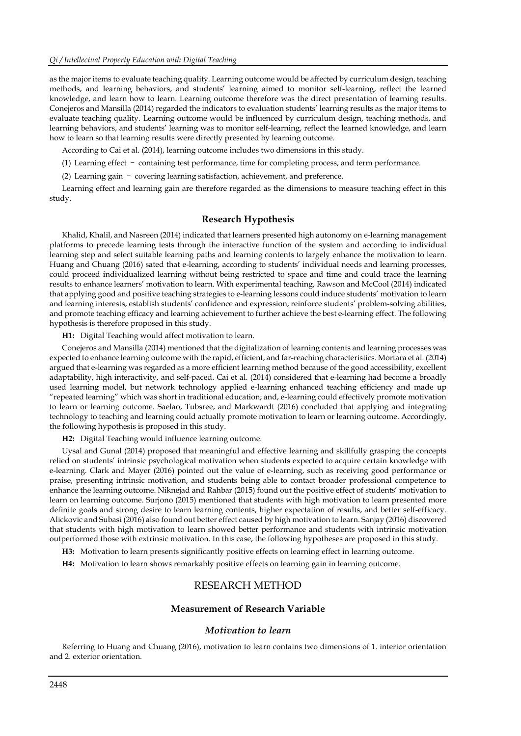as the major items to evaluate teaching quality. Learning outcome would be affected by curriculum design, teaching methods, and learning behaviors, and students' learning aimed to monitor self-learning, reflect the learned knowledge, and learn how to learn. Learning outcome therefore was the direct presentation of learning results. Conejeros and Mansilla (2014) regarded the indicators to evaluation students' learning results as the major items to evaluate teaching quality. Learning outcome would be influenced by curriculum design, teaching methods, and learning behaviors, and students' learning was to monitor self-learning, reflect the learned knowledge, and learn how to learn so that learning results were directly presented by learning outcome.

According to Cai et al. (2014), learning outcome includes two dimensions in this study.

(1) Learning effect - containing test performance, time for completing process, and term performance.

(2) Learning gain - covering learning satisfaction, achievement, and preference.

Learning effect and learning gain are therefore regarded as the dimensions to measure teaching effect in this study.

#### **Research Hypothesis**

Khalid, Khalil, and Nasreen (2014) indicated that learners presented high autonomy on e-learning management platforms to precede learning tests through the interactive function of the system and according to individual learning step and select suitable learning paths and learning contents to largely enhance the motivation to learn. Huang and Chuang (2016) sated that e-learning, according to students' individual needs and learning processes, could proceed individualized learning without being restricted to space and time and could trace the learning results to enhance learners' motivation to learn. With experimental teaching, Rawson and McCool (2014) indicated that applying good and positive teaching strategies to e-learning lessons could induce students' motivation to learn and learning interests, establish students' confidence and expression, reinforce students' problem-solving abilities, and promote teaching efficacy and learning achievement to further achieve the best e-learning effect. The following hypothesis is therefore proposed in this study.

**H1:** Digital Teaching would affect motivation to learn.

Conejeros and Mansilla (2014) mentioned that the digitalization of learning contents and learning processes was expected to enhance learning outcome with the rapid, efficient, and far-reaching characteristics. Mortara et al. (2014) argued that e-learning was regarded as a more efficient learning method because of the good accessibility, excellent adaptability, high interactivity, and self-paced. Cai et al. (2014) considered that e-learning had become a broadly used learning model, but network technology applied e-learning enhanced teaching efficiency and made up "repeated learning" which was short in traditional education; and, e-learning could effectively promote motivation to learn or learning outcome. Saelao, Tubsree, and Markwardt (2016) concluded that applying and integrating technology to teaching and learning could actually promote motivation to learn or learning outcome. Accordingly, the following hypothesis is proposed in this study.

**H2:** Digital Teaching would influence learning outcome.

Uysal and Gunal (2014) proposed that meaningful and effective learning and skillfully grasping the concepts relied on students' intrinsic psychological motivation when students expected to acquire certain knowledge with e-learning. Clark and Mayer (2016) pointed out the value of e-learning, such as receiving good performance or praise, presenting intrinsic motivation, and students being able to contact broader professional competence to enhance the learning outcome. Niknejad and Rahbar (2015) found out the positive effect of students' motivation to learn on learning outcome. Surjono (2015) mentioned that students with high motivation to learn presented more definite goals and strong desire to learn learning contents, higher expectation of results, and better self-efficacy. Alickovic and Subasi (2016) also found out better effect caused by high motivation to learn. Sanjay (2016) discovered that students with high motivation to learn showed better performance and students with intrinsic motivation outperformed those with extrinsic motivation. In this case, the following hypotheses are proposed in this study.

**H3:** Motivation to learn presents significantly positive effects on learning effect in learning outcome.

**H4:** Motivation to learn shows remarkably positive effects on learning gain in learning outcome.

### RESEARCH METHOD

### **Measurement of Research Variable**

#### *Motivation to learn*

Referring to Huang and Chuang (2016), motivation to learn contains two dimensions of 1. interior orientation and 2. exterior orientation.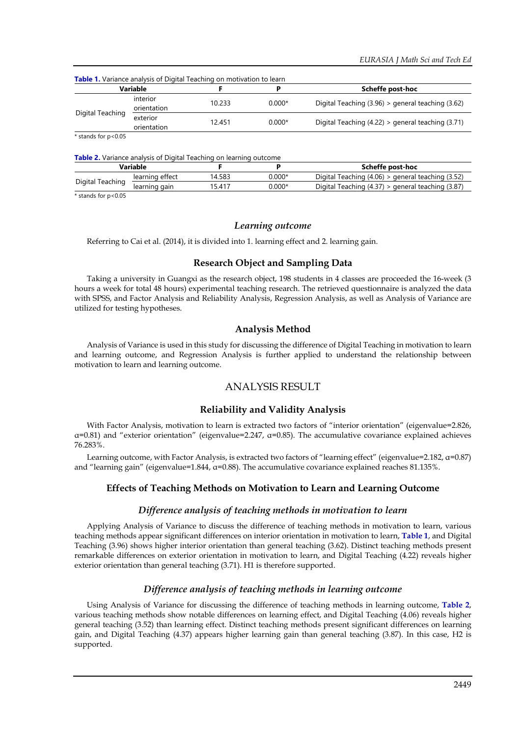| Table 1. Variance analysis of Digital Teaching on motivation to learn |                         |        |          |                                                       |  |  |  |  |
|-----------------------------------------------------------------------|-------------------------|--------|----------|-------------------------------------------------------|--|--|--|--|
| Variable                                                              |                         |        | ю        | Scheffe post-hoc                                      |  |  |  |  |
| Digital Teaching                                                      | interior<br>orientation | 10.233 | $0.000*$ | Digital Teaching $(3.96)$ > general teaching $(3.62)$ |  |  |  |  |
|                                                                       | exterior<br>orientation | 12.451 | $0.000*$ | Digital Teaching $(4.22)$ > general teaching $(3.71)$ |  |  |  |  |

 $*$  stands for  $n < 0.05$ 

**Table 2.** Variance analysis of Digital Teaching on learning outcome

| Variable          |                 |        |          | Scheffe post-hoc                                      |  |
|-------------------|-----------------|--------|----------|-------------------------------------------------------|--|
| Digital Teaching  | learning effect | 14.583 | $0.000*$ | Digital Teaching $(4.06)$ > general teaching $(3.52)$ |  |
|                   | learning gain   | 15.417 | $0.000*$ | Digital Teaching $(4.37)$ > general teaching $(3.87)$ |  |
| $\cdots$ $\cdots$ |                 |        |          |                                                       |  |

\* stands for p<0.05

### *Learning outcome*

Referring to Cai et al. (2014), it is divided into 1. learning effect and 2. learning gain.

### **Research Object and Sampling Data**

Taking a university in Guangxi as the research object, 198 students in 4 classes are proceeded the 16-week (3 hours a week for total 48 hours) experimental teaching research. The retrieved questionnaire is analyzed the data with SPSS, and Factor Analysis and Reliability Analysis, Regression Analysis, as well as Analysis of Variance are utilized for testing hypotheses.

### **Analysis Method**

Analysis of Variance is used in this study for discussing the difference of Digital Teaching in motivation to learn and learning outcome, and Regression Analysis is further applied to understand the relationship between motivation to learn and learning outcome.

### ANALYSIS RESULT

### **Reliability and Validity Analysis**

With Factor Analysis, motivation to learn is extracted two factors of "interior orientation" (eigenvalue=2.826, α=0.81) and "exterior orientation" (eigenvalue=2.247, α=0.85). The accumulative covariance explained achieves 76.283%.

Learning outcome, with Factor Analysis, is extracted two factors of "learning effect" (eigenvalue=2.182, α=0.87) and "learning gain" (eigenvalue=1.844,  $\alpha$ =0.88). The accumulative covariance explained reaches 81.135%.

### **Effects of Teaching Methods on Motivation to Learn and Learning Outcome**

### *Difference analysis of teaching methods in motivation to learn*

Applying Analysis of Variance to discuss the difference of teaching methods in motivation to learn, various teaching methods appear significant differences on interior orientation in motivation to learn, **Table 1**, and Digital Teaching (3.96) shows higher interior orientation than general teaching (3.62). Distinct teaching methods present remarkable differences on exterior orientation in motivation to learn, and Digital Teaching (4.22) reveals higher exterior orientation than general teaching (3.71). H1 is therefore supported.

### *Difference analysis of teaching methods in learning outcome*

Using Analysis of Variance for discussing the difference of teaching methods in learning outcome, **Table 2**, various teaching methods show notable differences on learning effect, and Digital Teaching (4.06) reveals higher general teaching (3.52) than learning effect. Distinct teaching methods present significant differences on learning gain, and Digital Teaching (4.37) appears higher learning gain than general teaching (3.87). In this case, H2 is supported.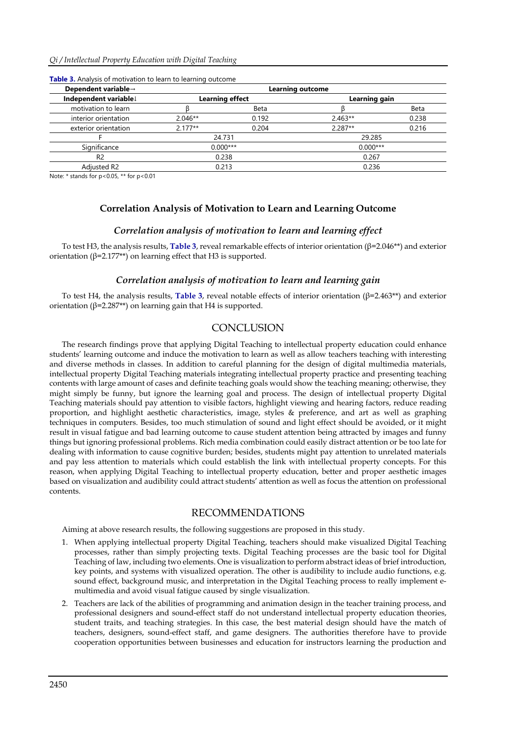| Dependent variable $\rightarrow$ | <b>Learning outcome</b> |       |               |       |  |  |
|----------------------------------|-------------------------|-------|---------------|-------|--|--|
| Independent variable!            | <b>Learning effect</b>  |       | Learning gain |       |  |  |
| motivation to learn              |                         | Beta  |               | Beta  |  |  |
| interior orientation             | $2.046**$               | 0.192 | $2.463**$     | 0.238 |  |  |
| exterior orientation             | $2.177**$               | 0.204 | $2.287**$     | 0.216 |  |  |
|                                  | 24.731                  |       | 29.285        |       |  |  |
| Significance                     | $0.000***$              |       | $0.000***$    |       |  |  |
| R <sub>2</sub>                   | 0.238                   |       | 0.267         |       |  |  |
| <b>Adiusted R2</b>               | 0.213                   |       | 0.236         |       |  |  |

**Table 3.** Analysis of motivation to learn to learning outcome

Note: \* stands for p<0.05, \*\* for p<0.01

### **Correlation Analysis of Motivation to Learn and Learning Outcome**

#### *Correlation analysis of motivation to learn and learning effect*

To test H3, the analysis results, **Table 3**, reveal remarkable effects of interior orientation (β=2.046\*\*) and exterior orientation ( $\beta$ =2.177<sup>\*\*</sup>) on learning effect that H3 is supported.

#### *Correlation analysis of motivation to learn and learning gain*

To test H4, the analysis results, **Table 3**, reveal notable effects of interior orientation (β=2.463\*\*) and exterior orientation (β=2.287\*\*) on learning gain that H4 is supported.

### **CONCLUSION**

The research findings prove that applying Digital Teaching to intellectual property education could enhance students' learning outcome and induce the motivation to learn as well as allow teachers teaching with interesting and diverse methods in classes. In addition to careful planning for the design of digital multimedia materials, intellectual property Digital Teaching materials integrating intellectual property practice and presenting teaching contents with large amount of cases and definite teaching goals would show the teaching meaning; otherwise, they might simply be funny, but ignore the learning goal and process. The design of intellectual property Digital Teaching materials should pay attention to visible factors, highlight viewing and hearing factors, reduce reading proportion, and highlight aesthetic characteristics, image, styles & preference, and art as well as graphing techniques in computers. Besides, too much stimulation of sound and light effect should be avoided, or it might result in visual fatigue and bad learning outcome to cause student attention being attracted by images and funny things but ignoring professional problems. Rich media combination could easily distract attention or be too late for dealing with information to cause cognitive burden; besides, students might pay attention to unrelated materials and pay less attention to materials which could establish the link with intellectual property concepts. For this reason, when applying Digital Teaching to intellectual property education, better and proper aesthetic images based on visualization and audibility could attract students' attention as well as focus the attention on professional contents.

#### RECOMMENDATIONS

Aiming at above research results, the following suggestions are proposed in this study.

- 1. When applying intellectual property Digital Teaching, teachers should make visualized Digital Teaching processes, rather than simply projecting texts. Digital Teaching processes are the basic tool for Digital Teaching of law, including two elements. One is visualization to perform abstract ideas of brief introduction, key points, and systems with visualized operation. The other is audibility to include audio functions, e.g. sound effect, background music, and interpretation in the Digital Teaching process to really implement emultimedia and avoid visual fatigue caused by single visualization.
- 2. Teachers are lack of the abilities of programming and animation design in the teacher training process, and professional designers and sound-effect staff do not understand intellectual property education theories, student traits, and teaching strategies. In this case, the best material design should have the match of teachers, designers, sound-effect staff, and game designers. The authorities therefore have to provide cooperation opportunities between businesses and education for instructors learning the production and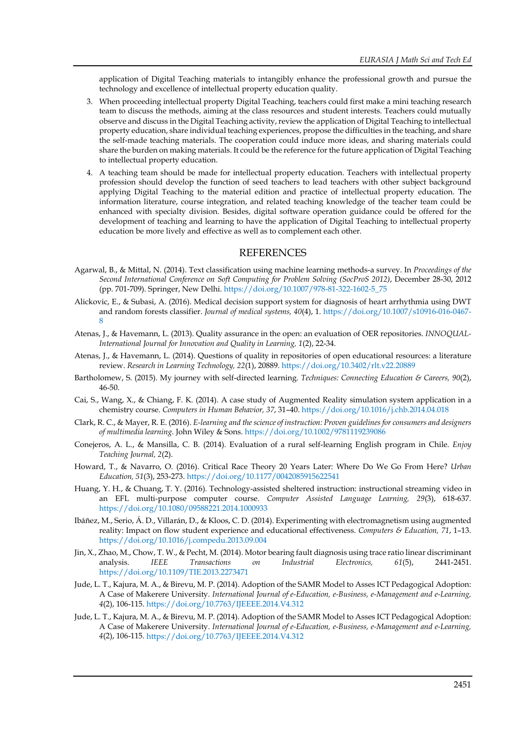application of Digital Teaching materials to intangibly enhance the professional growth and pursue the technology and excellence of intellectual property education quality.

- 3. When proceeding intellectual property Digital Teaching, teachers could first make a mini teaching research team to discuss the methods, aiming at the class resources and student interests. Teachers could mutually observe and discuss in the Digital Teaching activity, review the application of Digital Teaching to intellectual property education, share individual teaching experiences, propose the difficulties in the teaching, and share the self-made teaching materials. The cooperation could induce more ideas, and sharing materials could share the burden on making materials. It could be the reference for the future application of Digital Teaching to intellectual property education.
- 4. A teaching team should be made for intellectual property education. Teachers with intellectual property profession should develop the function of seed teachers to lead teachers with other subject background applying Digital Teaching to the material edition and practice of intellectual property education. The information literature, course integration, and related teaching knowledge of the teacher team could be enhanced with specialty division. Besides, digital software operation guidance could be offered for the development of teaching and learning to have the application of Digital Teaching to intellectual property education be more lively and effective as well as to complement each other.

#### REFERENCES

- Agarwal, B., & Mittal, N. (2014). Text classification using machine learning methods-a survey. In *Proceedings of the Second International Conference on Soft Computing for Problem Solving (SocProS 2012)*, December 28-30, 2012 (pp. 701-709). Springer, New Delhi. [https://doi.org/10.1007/978-81-322-1602-5\\_75](https://doi.org/10.1007/978-81-322-1602-5_75)
- Alickovic, E., & Subasi, A. (2016). Medical decision support system for diagnosis of heart arrhythmia using DWT and random forests classifier. *Journal of medical systems, 40*(4), 1. [https://doi.org/10.1007/s10916-016-0467-](https://doi.org/10.1007/s10916-016-0467-8) [8](https://doi.org/10.1007/s10916-016-0467-8)
- Atenas, J., & Havemann, L. (2013). Quality assurance in the open: an evaluation of OER repositories. *INNOQUAL-International Journal for Innovation and Quality in Learning, 1*(2), 22-34.
- Atenas, J., & Havemann, L. (2014). Questions of quality in repositories of open educational resources: a literature review. *Research in Learning Technology, 22*(1), 20889. <https://doi.org/10.3402/rlt.v22.20889>
- Bartholomew, S. (2015). My journey with self-directed learning. *Techniques: Connecting Education & Careers, 90*(2), 46-50.
- Cai, S., Wang, X., & Chiang, F. K. (2014). A case study of Augmented Reality simulation system application in a chemistry course. *Computers in Human Behavior, 37*, 31–40. <https://doi.org/10.1016/j.chb.2014.04.018>
- Clark, R. C., & Mayer, R. E. (2016). *E-learning and the science of instruction: Proven guidelines for consumers and designers of multimedia learning*. John Wiley & Sons. <https://doi.org/10.1002/9781119239086>
- Conejeros, A. L., & Mansilla, C. B. (2014). Evaluation of a rural self-learning English program in Chile. *Enjoy Teaching Journal, 2*(2).
- Howard, T., & Navarro, O. (2016). Critical Race Theory 20 Years Later: Where Do We Go From Here? *Urban Education, 51*(3), 253-273. <https://doi.org/10.1177/0042085915622541>
- Huang, Y. H., & Chuang, T. Y. (2016). Technology-assisted sheltered instruction: instructional streaming video in an EFL multi-purpose computer course. *Computer Assisted Language Learning, 29*(3), 618-637. <https://doi.org/10.1080/09588221.2014.1000933>
- Ibáñez, M., Serio, Á. D., Villarán, D., & Kloos, C. D. (2014). Experimenting with electromagnetism using augmented reality: Impact on flow student experience and educational effectiveness. *Computers & Education, 71*, 1–13. <https://doi.org/10.1016/j.compedu.2013.09.004>
- Jin, X., Zhao, M., Chow, T. W., & Pecht, M. (2014). Motor bearing fault diagnosis using trace ratio linear discriminant analysis. *IEEE Transactions on Industrial Electronics, 61*(5), 2441-2451. <https://doi.org/10.1109/TIE.2013.2273471>
- Jude, L. T., Kajura, M. A., & Birevu, M. P. (2014). Adoption of the SAMR Model to Asses ICT Pedagogical Adoption: A Case of Makerere University. *International Journal of e-Education, e-Business, e-Management and e-Learning, 4*(2), 106-115. <https://doi.org/10.7763/IJEEEE.2014.V4.312>
- Jude, L. T., Kajura, M. A., & Birevu, M. P. (2014). Adoption of the SAMR Model to Asses ICT Pedagogical Adoption: A Case of Makerere University. *International Journal of e-Education, e-Business, e-Management and e-Learning, 4*(2), 106-115. <https://doi.org/10.7763/IJEEEE.2014.V4.312>